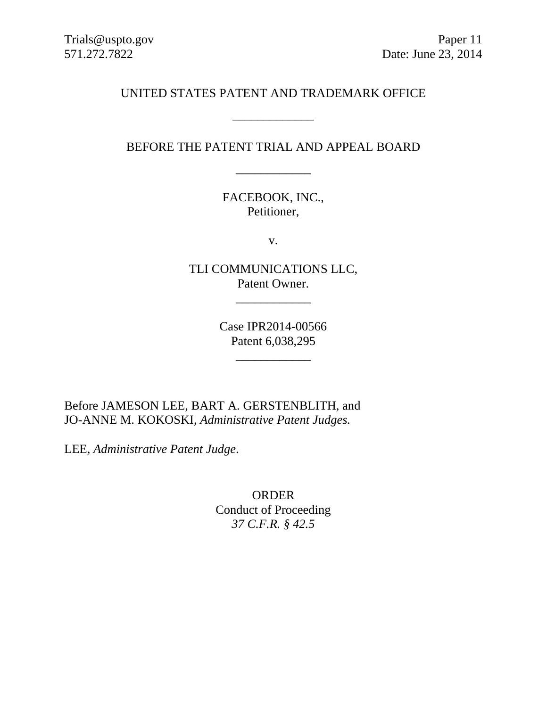# UNITED STATES PATENT AND TRADEMARK OFFICE

\_\_\_\_\_\_\_\_\_\_\_\_\_

# BEFORE THE PATENT TRIAL AND APPEAL BOARD

\_\_\_\_\_\_\_\_\_\_\_\_

FACEBOOK, INC., Petitioner,

v.

TLI COMMUNICATIONS LLC, Patent Owner.

\_\_\_\_\_\_\_\_\_\_\_\_

Case IPR2014-00566 Patent 6,038,295

\_\_\_\_\_\_\_\_\_\_\_\_

Before JAMESON LEE, BART A. GERSTENBLITH, and JO-ANNE M. KOKOSKI, *Administrative Patent Judges.*

LEE, *Administrative Patent Judge*.

ORDER Conduct of Proceeding *37 C.F.R. § 42.5*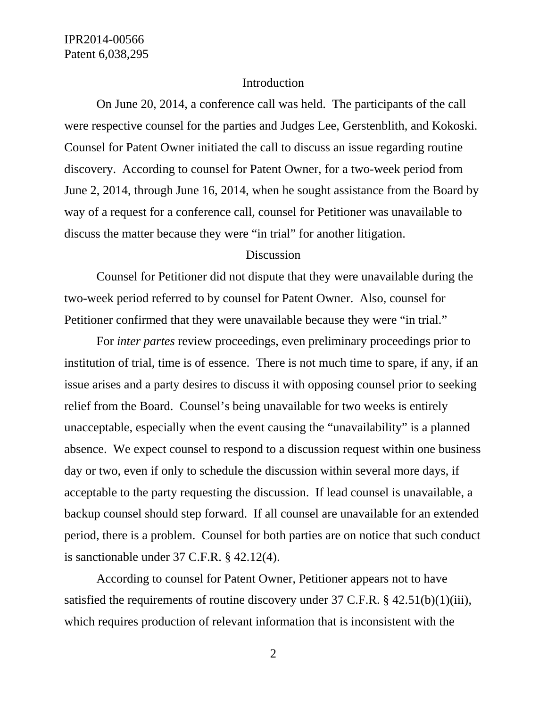### Introduction

 On June 20, 2014, a conference call was held. The participants of the call were respective counsel for the parties and Judges Lee, Gerstenblith, and Kokoski. Counsel for Patent Owner initiated the call to discuss an issue regarding routine discovery. According to counsel for Patent Owner, for a two-week period from June 2, 2014, through June 16, 2014, when he sought assistance from the Board by way of a request for a conference call, counsel for Petitioner was unavailable to discuss the matter because they were "in trial" for another litigation.

### **Discussion**

 Counsel for Petitioner did not dispute that they were unavailable during the two-week period referred to by counsel for Patent Owner. Also, counsel for Petitioner confirmed that they were unavailable because they were "in trial."

 For *inter partes* review proceedings, even preliminary proceedings prior to institution of trial, time is of essence. There is not much time to spare, if any, if an issue arises and a party desires to discuss it with opposing counsel prior to seeking relief from the Board. Counsel's being unavailable for two weeks is entirely unacceptable, especially when the event causing the "unavailability" is a planned absence. We expect counsel to respond to a discussion request within one business day or two, even if only to schedule the discussion within several more days, if acceptable to the party requesting the discussion. If lead counsel is unavailable, a backup counsel should step forward. If all counsel are unavailable for an extended period, there is a problem. Counsel for both parties are on notice that such conduct is sanctionable under 37 C.F.R. § 42.12(4).

 According to counsel for Patent Owner, Petitioner appears not to have satisfied the requirements of routine discovery under 37 C.F.R. § 42.51(b)(1)(iii), which requires production of relevant information that is inconsistent with the

2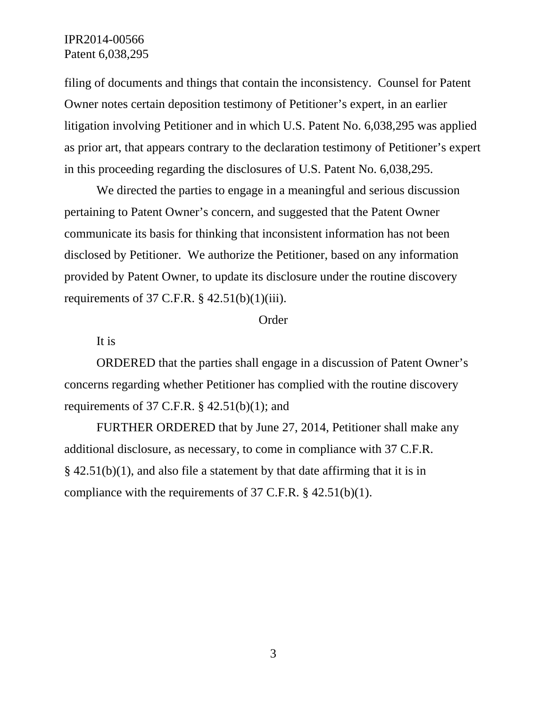# IPR2014-00566 Patent 6,038,295

filing of documents and things that contain the inconsistency. Counsel for Patent Owner notes certain deposition testimony of Petitioner's expert, in an earlier litigation involving Petitioner and in which U.S. Patent No. 6,038,295 was applied as prior art, that appears contrary to the declaration testimony of Petitioner's expert in this proceeding regarding the disclosures of U.S. Patent No. 6,038,295.

 We directed the parties to engage in a meaningful and serious discussion pertaining to Patent Owner's concern, and suggested that the Patent Owner communicate its basis for thinking that inconsistent information has not been disclosed by Petitioner. We authorize the Petitioner, based on any information provided by Patent Owner, to update its disclosure under the routine discovery requirements of 37 C.F.R.  $\S$  42.51(b)(1)(iii).

#### Order

It is

 ORDERED that the parties shall engage in a discussion of Patent Owner's concerns regarding whether Petitioner has complied with the routine discovery requirements of 37 C.F.R.  $\S$  42.51(b)(1); and

 FURTHER ORDERED that by June 27, 2014, Petitioner shall make any additional disclosure, as necessary, to come in compliance with 37 C.F.R.  $\S$  42.51(b)(1), and also file a statement by that date affirming that it is in compliance with the requirements of 37 C.F.R. § 42.51(b)(1).